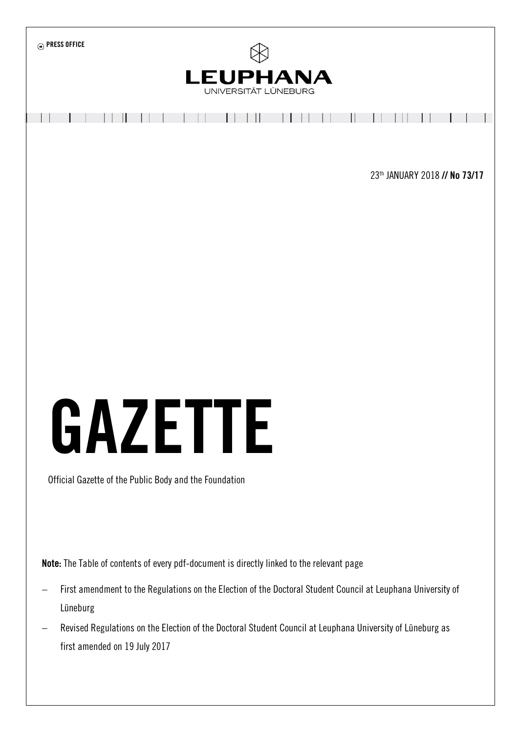

Note: The Table of contents of every pdf-document is directly linked to the relevant page

- First amendment to the Regulations on the Election of the Doctoral Student Council at Leuphana University of Lüneburg
- Revised Regulations on the Election of the Doctoral Student Council at Leuphana University of Lüneburg as first amended on 19 July 2017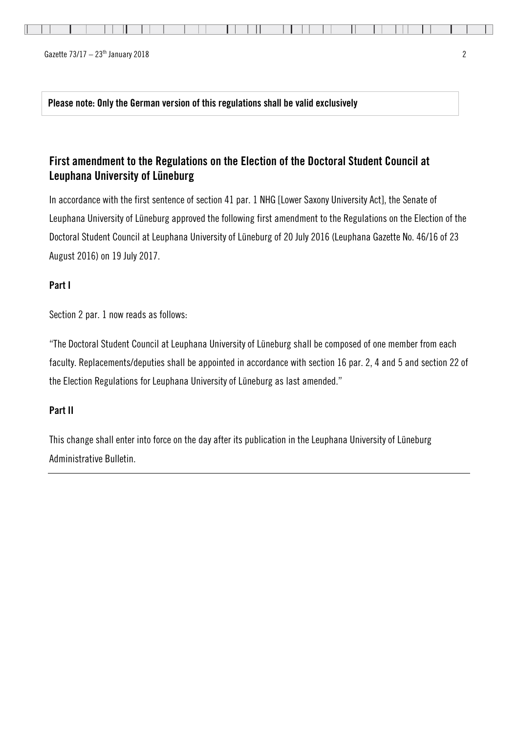Please note: Only the German version of this regulations shall be valid exclusively

# First amendment to the Regulations on the Election of the Doctoral Student Council at Leuphana University of Lüneburg

In accordance with the first sentence of section 41 par. 1 NHG [Lower Saxony University Act], the Senate of Leuphana University of Lüneburg approved the following first amendment to the Regulations on the Election of the Doctoral Student Council at Leuphana University of Lüneburg of 20 July 2016 (Leuphana Gazette No. 46/16 of 23 August 2016) on 19 July 2017.

# Part I

Section 2 par. 1 now reads as follows:

"The Doctoral Student Council at Leuphana University of Lüneburg shall be composed of one member from each faculty. Replacements/deputies shall be appointed in accordance with section 16 par. 2, 4 and 5 and section 22 of the Election Regulations for Leuphana University of Lüneburg as last amended."

# Part II

This change shall enter into force on the day after its publication in the Leuphana University of Lüneburg Administrative Bulletin.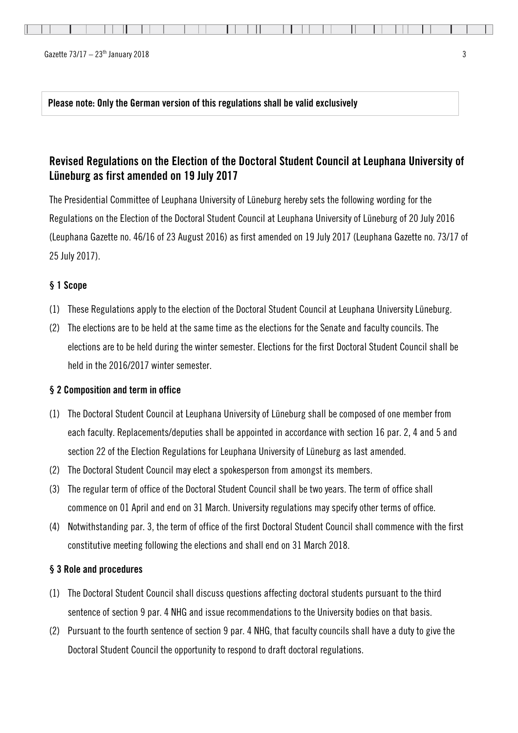Ш

Please note: Only the German version of this regulations shall be valid exclusively

# Revised Regulations on the Election of the Doctoral Student Council at Leuphana University of Lüneburg as first amended on 19 July 2017

The Presidential Committee of Leuphana University of Lüneburg hereby sets the following wording for the Regulations on the Election of the Doctoral Student Council at Leuphana University of Lüneburg of 20 July 2016 (Leuphana Gazette no. 46/16 of 23 August 2016) as first amended on 19 July 2017 (Leuphana Gazette no. 73/17 of 25 July 2017).

## § 1 Scope

- (1) These Regulations apply to the election of the Doctoral Student Council at Leuphana University Lüneburg.
- (2) The elections are to be held at the same time as the elections for the Senate and faculty councils. The elections are to be held during the winter semester. Elections for the first Doctoral Student Council shall be held in the 2016/2017 winter semester.

## § 2 Composition and term in office

- (1) The Doctoral Student Council at Leuphana University of Lüneburg shall be composed of one member from each faculty. Replacements/deputies shall be appointed in accordance with section 16 par. 2, 4 and 5 and section 22 of the Election Regulations for Leuphana University of Lüneburg as last amended.
- (2) The Doctoral Student Council may elect a spokesperson from amongst its members.
- (3) The regular term of office of the Doctoral Student Council shall be two years. The term of office shall commence on 01 April and end on 31 March. University regulations may specify other terms of office.
- (4) Notwithstanding par. 3, the term of office of the first Doctoral Student Council shall commence with the first constitutive meeting following the elections and shall end on 31 March 2018.

#### § 3 Role and procedures

- (1) The Doctoral Student Council shall discuss questions affecting doctoral students pursuant to the third sentence of section 9 par. 4 NHG and issue recommendations to the University bodies on that basis.
- (2) Pursuant to the fourth sentence of section 9 par. 4 NHG, that faculty councils shall have a duty to give the Doctoral Student Council the opportunity to respond to draft doctoral regulations.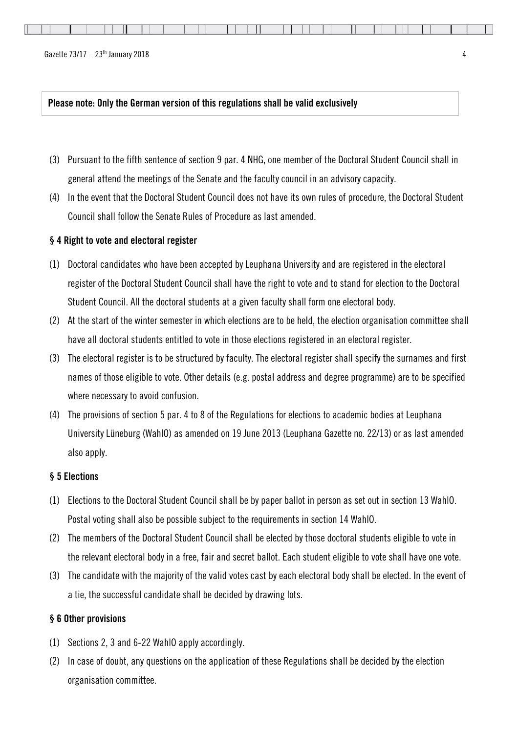|  |  |  |  |  |  |  |  |  |  |  |  |  |  |  |  |  |  |  |  |  |  |  |  |  |  |  |  |  |  |  | <u> Andrea a componente de la componenta de la componenta de la componenta de la componenta de la componenta del </u> |  |  |
|--|--|--|--|--|--|--|--|--|--|--|--|--|--|--|--|--|--|--|--|--|--|--|--|--|--|--|--|--|--|--|-----------------------------------------------------------------------------------------------------------------------|--|--|
|--|--|--|--|--|--|--|--|--|--|--|--|--|--|--|--|--|--|--|--|--|--|--|--|--|--|--|--|--|--|--|-----------------------------------------------------------------------------------------------------------------------|--|--|

Gazette  $73/17 - 23$ <sup>th</sup> January 2018  $\overline{a}$ 

#### Please note: Only the German version of this regulations shall be valid exclusively

- (3) Pursuant to the fifth sentence of section 9 par. 4 NHG, one member of the Doctoral Student Council shall in general attend the meetings of the Senate and the faculty council in an advisory capacity.
- (4) In the event that the Doctoral Student Council does not have its own rules of procedure, the Doctoral Student Council shall follow the Senate Rules of Procedure as last amended.

## § 4 Right to vote and electoral register

- (1) Doctoral candidates who have been accepted by Leuphana University and are registered in the electoral register of the Doctoral Student Council shall have the right to vote and to stand for election to the Doctoral Student Council. All the doctoral students at a given faculty shall form one electoral body.
- (2) At the start of the winter semester in which elections are to be held, the election organisation committee shall have all doctoral students entitled to vote in those elections registered in an electoral register.
- (3) The electoral register is to be structured by faculty. The electoral register shall specify the surnames and first names of those eligible to vote. Other details (e.g. postal address and degree programme) are to be specified where necessary to avoid confusion.
- (4) The provisions of section 5 par. 4 to 8 of the Regulations for elections to academic bodies at Leuphana University Lüneburg (WahlO) as amended on 19 June 2013 (Leuphana Gazette no. 22/13) or as last amended also apply.

#### § 5 Elections

- (1) Elections to the Doctoral Student Council shall be by paper ballot in person as set out in section 13 WahlO. Postal voting shall also be possible subject to the requirements in section 14 WahlO.
- (2) The members of the Doctoral Student Council shall be elected by those doctoral students eligible to vote in the relevant electoral body in a free, fair and secret ballot. Each student eligible to vote shall have one vote.
- (3) The candidate with the majority of the valid votes cast by each electoral body shall be elected. In the event of a tie, the successful candidate shall be decided by drawing lots.

## § 6 Other provisions

- (1) Sections 2, 3 and 6-22 WahlO apply accordingly.
- (2) In case of doubt, any questions on the application of these Regulations shall be decided by the election organisation committee.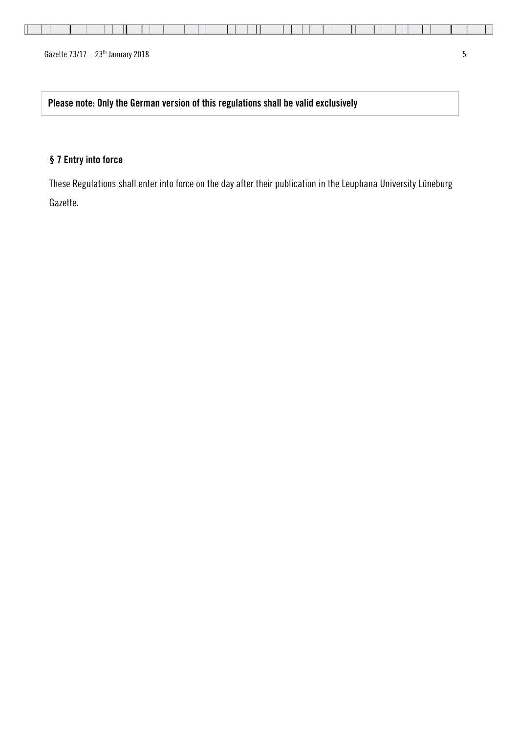Gazette  $73/17 - 23$ <sup>th</sup> January 2018 5

Please note: Only the German version of this regulations shall be valid exclusively

# § 7 Entry into force

These Regulations shall enter into force on the day after their publication in the Leuphana University Lüneburg Gazette.